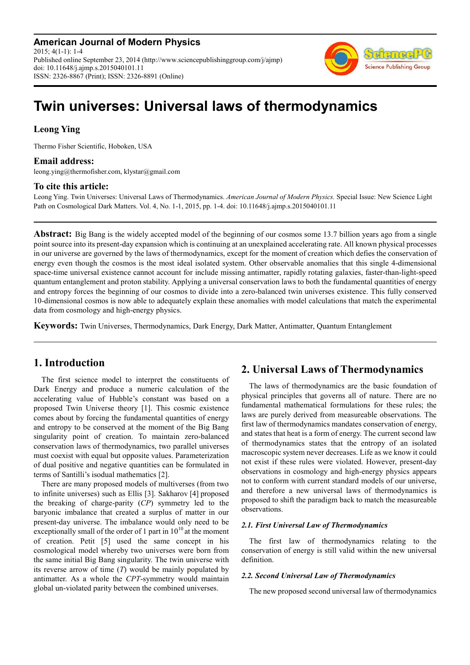**American Journal of Modern Physics** 2015; 4(1-1): 1-4 Published online September 23, 2014 (http://www.sciencepublishinggroup.com/j/ajmp) doi: 10.11648/j.ajmp.s.2015040101.11 ISSN: 2326-8867 (Print); ISSN: 2326-8891 (Online)



# **Twin universes: Universal laws of thermodynamics**

## **Leong Ying**

Thermo Fisher Scientific, Hoboken, USA

## **Email address:**

leong.ying@thermofisher.com, klystar@gmail.com

## **To cite this article:**

Leong Ying. Twin Universes: Universal Laws of Thermodynamics. *American Journal of Modern Physics.* Special Issue: New Science Light Path on Cosmological Dark Matters. Vol. 4, No. 1-1, 2015, pp. 1-4. doi: 10.11648/j.ajmp.s.2015040101.11

**Abstract:** Big Bang is the widely accepted model of the beginning of our cosmos some 13.7 billion years ago from a single point source into its present-day expansion which is continuing at an unexplained accelerating rate. All known physical processes in our universe are governed by the laws of thermodynamics, except for the moment of creation which defies the conservation of energy even though the cosmos is the most ideal isolated system. Other observable anomalies that this single 4-dimensional space-time universal existence cannot account for include missing antimatter, rapidly rotating galaxies, faster-than-light-speed quantum entanglement and proton stability. Applying a universal conservation laws to both the fundamental quantities of energy and entropy forces the beginning of our cosmos to divide into a zero-balanced twin universes existence. This fully conserved 10-dimensional cosmos is now able to adequately explain these anomalies with model calculations that match the experimental data from cosmology and high-energy physics.

**Keywords:** Twin Universes, Thermodynamics, Dark Energy, Dark Matter, Antimatter, Quantum Entanglement

# **1. Introduction**

The first science model to interpret the constituents of Dark Energy and produce a numeric calculation of the accelerating value of Hubble's constant was based on a proposed Twin Universe theory [1]. This cosmic existence comes about by forcing the fundamental quantities of energy and entropy to be conserved at the moment of the Big Bang singularity point of creation. To maintain zero-balanced conservation laws of thermodynamics, two parallel universes must coexist with equal but opposite values. Parameterization of dual positive and negative quantities can be formulated in terms of Santilli's isodual mathematics [2].

There are many proposed models of multiverses (from two to infinite universes) such as Ellis [3]. Sakharov [4] proposed the breaking of charge-parity (*CP*) symmetry led to the baryonic imbalance that created a surplus of matter in our present-day universe. The imbalance would only need to be exceptionally small of the order of 1 part in  $10^{10}$  at the moment of creation. Petit [5] used the same concept in his cosmological model whereby two universes were born from the same initial Big Bang singularity. The twin universe with its reverse arrow of time (*T*) would be mainly populated by antimatter. As a whole the *CPT*-symmetry would maintain global un-violated parity between the combined universes.

# **2. Universal Laws of Thermodynamics**

The laws of thermodynamics are the basic foundation of physical principles that governs all of nature. There are no fundamental mathematical formulations for these rules; the laws are purely derived from measureable observations. The first law of thermodynamics mandates conservation of energy, and states that heat is a form of energy. The current second law of thermodynamics states that the entropy of an isolated macroscopic system never decreases. Life as we know it could not exist if these rules were violated. However, present-day observations in cosmology and high-energy physics appears not to conform with current standard models of our universe, and therefore a new universal laws of thermodynamics is proposed to shift the paradigm back to match the measureable observations.

#### *2.1. First Universal Law of Thermodynamics*

The first law of thermodynamics relating to the conservation of energy is still valid within the new universal definition.

#### *2.2. Second Universal Law of Thermodynamics*

The new proposed second universal law of thermodynamics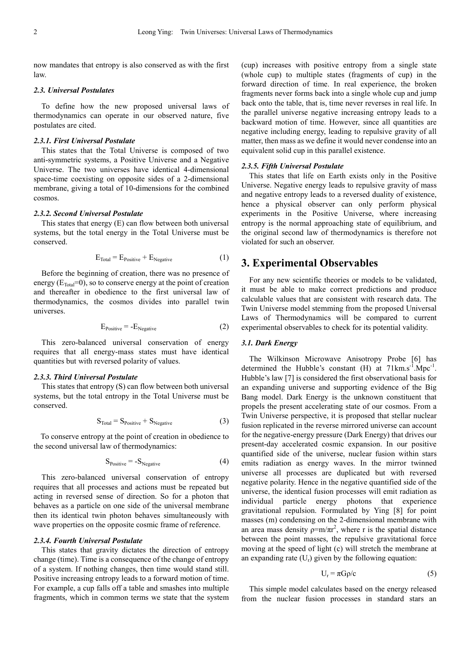now mandates that entropy is also conserved as with the first law.

#### *2.3. Universal Postulates*

To define how the new proposed universal laws of thermodynamics can operate in our observed nature, five postulates are cited.

#### *2.3.1. First Universal Postulate*

This states that the Total Universe is composed of two anti-symmetric systems, a Positive Universe and a Negative Universe. The two universes have identical 4-dimensional space-time coexisting on opposite sides of a 2-dimensional membrane, giving a total of 10-dimensions for the combined cosmos.

### *2.3.2. Second Universal Postulate*

This states that energy (E) can flow between both universal systems, but the total energy in the Total Universe must be conserved.

$$
E_{\text{Total}} = E_{\text{Positive}} + E_{\text{Negative}} \tag{1}
$$

Before the beginning of creation, there was no presence of energy ( $E_{\text{Total}}=0$ ), so to conserve energy at the point of creation and thereafter in obedience to the first universal law of thermodynamics, the cosmos divides into parallel twin universes.

$$
E_{Positive} = -E_{Negative}
$$
 (2)

This zero-balanced universal conservation of energy requires that all energy-mass states must have identical quantities but with reversed polarity of values.

#### *2.3.3. Third Universal Postulate*

This states that entropy (S) can flow between both universal systems, but the total entropy in the Total Universe must be conserved.

$$
S_{\text{Total}} = S_{\text{Positive}} + S_{\text{Negative}} \tag{3}
$$

To conserve entropy at the point of creation in obedience to the second universal law of thermodynamics:

$$
S_{Positive} = -S_{Negative} \tag{4}
$$

This zero-balanced universal conservation of entropy requires that all processes and actions must be repeated but acting in reversed sense of direction. So for a photon that behaves as a particle on one side of the universal membrane then its identical twin photon behaves simultaneously with wave properties on the opposite cosmic frame of reference.

### *2.3.4. Fourth Universal Postulate*

This states that gravity dictates the direction of entropy change (time). Time is a consequence of the change of entropy of a system. If nothing changes, then time would stand still. Positive increasing entropy leads to a forward motion of time. For example, a cup falls off a table and smashes into multiple fragments, which in common terms we state that the system (cup) increases with positive entropy from a single state (whole cup) to multiple states (fragments of cup) in the forward direction of time. In real experience, the broken fragments never forms back into a single whole cup and jump back onto the table, that is, time never reverses in real life. In the parallel universe negative increasing entropy leads to a backward motion of time. However, since all quantities are negative including energy, leading to repulsive gravity of all matter, then mass as we define it would never condense into an equivalent solid cup in this parallel existence.

#### *2.3.5. Fifth Universal Postulate*

This states that life on Earth exists only in the Positive Universe. Negative energy leads to repulsive gravity of mass and negative entropy leads to a reversed duality of existence, hence a physical observer can only perform physical experiments in the Positive Universe, where increasing entropy is the normal approaching state of equilibrium, and the original second law of thermodynamics is therefore not violated for such an observer.

## **3. Experimental Observables**

For any new scientific theories or models to be validated, it must be able to make correct predictions and produce calculable values that are consistent with research data. The Twin Universe model stemming from the proposed Universal Laws of Thermodynamics will be compared to current experimental observables to check for its potential validity.

#### *3.1. Dark Energy*

The Wilkinson Microwave Anisotropy Probe [6] has determined the Hubble's constant  $(H)$  at  $71 \text{km} \cdot \text{s}^{-1} \cdot \text{Mpc}^{-1}$ . Hubble's law [7] is considered the first observational basis for an expanding universe and supporting evidence of the Big Bang model. Dark Energy is the unknown constituent that propels the present accelerating state of our cosmos. From a Twin Universe perspective, it is proposed that stellar nuclear fusion replicated in the reverse mirrored universe can account for the negative-energy pressure (Dark Energy) that drives our present-day accelerated cosmic expansion. In our positive quantified side of the universe, nuclear fusion within stars emits radiation as energy waves. In the mirror twinned universe all processes are duplicated but with reversed negative polarity. Hence in the negative quantified side of the universe, the identical fusion processes will emit radiation as individual particle energy photons that experience gravitational repulsion. Formulated by Ying [8] for point masses (m) condensing on the 2-dimensional membrane with an area mass density  $p=m/\pi r^2$ , where r is the spatial distance between the point masses, the repulsive gravitational force moving at the speed of light (c) will stretch the membrane at an expanding rate  $(U<sub>r</sub>)$  given by the following equation:

$$
U_r = \pi G \rho / c \tag{5}
$$

This simple model calculates based on the energy released from the nuclear fusion processes in standard stars an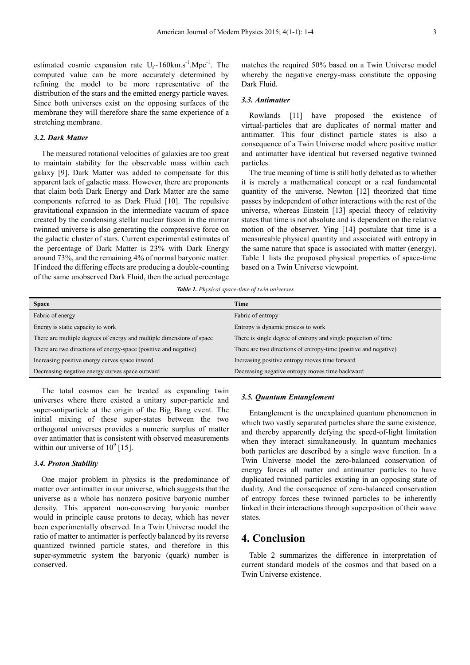estimated cosmic expansion rate  $U_r \sim 160 \text{km.s}^{-1}$ . The computed value can be more accurately determined by refining the model to be more representative of the distribution of the stars and the emitted energy particle waves. Since both universes exist on the opposing surfaces of the membrane they will therefore share the same experience of a stretching membrane.

#### *3.2. Dark Matter*

The measured rotational velocities of galaxies are too great to maintain stability for the observable mass within each galaxy [9]. Dark Matter was added to compensate for this apparent lack of galactic mass. However, there are proponents that claim both Dark Energy and Dark Matter are the same components referred to as Dark Fluid [10]. The repulsive gravitational expansion in the intermediate vacuum of space created by the condensing stellar nuclear fusion in the mirror twinned universe is also generating the compressive force on the galactic cluster of stars. Current experimental estimates of the percentage of Dark Matter is 23% with Dark Energy around 73%, and the remaining 4% of normal baryonic matter. If indeed the differing effects are producing a double-counting of the same unobserved Dark Fluid, then the actual percentage

matches the required 50% based on a Twin Universe model whereby the negative energy-mass constitute the opposing Dark Fluid.

### *3.3. Antimatter*

Rowlands [11] have proposed the existence of virtual-particles that are duplicates of normal matter and antimatter. This four distinct particle states is also a consequence of a Twin Universe model where positive matter and antimatter have identical but reversed negative twinned particles.

The true meaning of time is still hotly debated as to whether it is merely a mathematical concept or a real fundamental quantity of the universe. Newton [12] theorized that time passes by independent of other interactions with the rest of the universe, whereas Einstein [13] special theory of relativity states that time is not absolute and is dependent on the relative motion of the observer. Ying [14] postulate that time is a measureable physical quantity and associated with entropy in the same nature that space is associated with matter (energy). Table 1 lists the proposed physical properties of space-time based on a Twin Universe viewpoint.

*Table 1. Physical space-time of twin universes* 

| <b>Space</b>                                                          | <b>Time</b>                                                      |  |
|-----------------------------------------------------------------------|------------------------------------------------------------------|--|
| Fabric of energy                                                      | Fabric of entropy                                                |  |
| Energy is static capacity to work                                     | Entropy is dynamic process to work                               |  |
| There are multiple degrees of energy and multiple dimensions of space | There is single degree of entropy and single projection of time  |  |
| There are two directions of energy-space (positive and negative)      | There are two directions of entropy-time (positive and negative) |  |
| Increasing positive energy curves space inward                        | Increasing positive entropy moves time forward                   |  |
| Decreasing negative energy curves space outward                       | Decreasing negative entropy moves time backward                  |  |

The total cosmos can be treated as expanding twin universes where there existed a unitary super-particle and super-antiparticle at the origin of the Big Bang event. The initial mixing of these super-states between the two orthogonal universes provides a numeric surplus of matter over antimatter that is consistent with observed measurements within our universe of  $10^9$  [15].

## *3.4. Proton Stability*

One major problem in physics is the predominance of matter over antimatter in our universe, which suggests that the universe as a whole has nonzero positive baryonic number density. This apparent non-conserving baryonic number would in principle cause protons to decay, which has never been experimentally observed. In a Twin Universe model the ratio of matter to antimatter is perfectly balanced by its reverse quantized twinned particle states, and therefore in this super-symmetric system the baryonic (quark) number is conserved.

#### *3.5. Quantum Entanglement*

Entanglement is the unexplained quantum phenomenon in which two vastly separated particles share the same existence, and thereby apparently defying the speed-of-light limitation when they interact simultaneously. In quantum mechanics both particles are described by a single wave function. In a Twin Universe model the zero-balanced conservation of energy forces all matter and antimatter particles to have duplicated twinned particles existing in an opposing state of duality. And the consequence of zero-balanced conservation of entropy forces these twinned particles to be inherently linked in their interactions through superposition of their wave states.

# **4. Conclusion**

Table 2 summarizes the difference in interpretation of current standard models of the cosmos and that based on a Twin Universe existence.